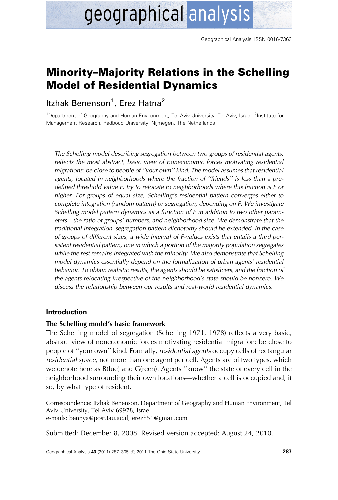# Minority–Majority Relations in the Schelling Model of Residential Dynamics

ltzhak Benenson<sup>1</sup>, Erez Hatna<sup>2</sup>

<sup>1</sup>Department of Geography and Human Environment, Tel Aviv University, Tel Aviv, Israel, <sup>2</sup>Institute for Management Research, Radboud University, Nijmegen, The Netherlands

The Schelling model describing segregation between two groups of residential agents, reflects the most abstract, basic view of noneconomic forces motivating residential migrations: be close to people of ''your own'' kind. The model assumes that residential agents, located in neighborhoods where the fraction of ''friends'' is less than a predefined threshold value F, try to relocate to neighborhoods where this fraction is F or higher. For groups of equal size, Schelling's residential pattern converges either to complete integration (random pattern) or segregation, depending on F. We investigate Schelling model pattern dynamics as a function of F in addition to two other parameters—the ratio of groups' numbers, and neighborhood size. We demonstrate that the traditional integration–segregation pattern dichotomy should be extended. In the case of groups of different sizes, a wide interval of F-values exists that entails a third persistent residential pattern, one in which a portion of the majority population segregates while the rest remains integrated with the minority. We also demonstrate that Schelling model dynamics essentially depend on the formalization of urban agents' residential behavior. To obtain realistic results, the agents should be satisficers, and the fraction of the agents relocating irrespective of the neighborhood's state should be nonzero. We discuss the relationship between our results and real-world residential dynamics.

# **Introduction**

# The Schelling model's basic framework

The Schelling model of segregation (Schelling 1971, 1978) reflects a very basic, abstract view of noneconomic forces motivating residential migration: be close to people of ''your own'' kind. Formally, residential agents occupy cells of rectangular residential space, not more than one agent per cell. Agents are of two types, which we denote here as B(lue) and G(reen). Agents ''know'' the state of every cell in the neighborhood surrounding their own locations—whether a cell is occupied and, if so, by what type of resident.

Correspondence: Itzhak Benenson, Department of Geography and Human Environment, Tel Aviv University, Tel Aviv 69978, Israel e-mails: [bennya@post.tau.ac.il,](mailto:bennya@post.tau.ac.il) [erezh51@gmail.com](mailto:erezh51@gmail.com)

Submitted: December 8, 2008. Revised version accepted: August 24, 2010.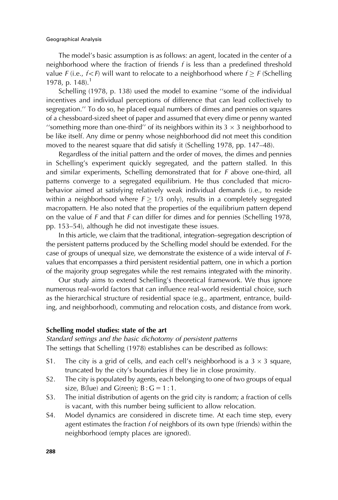The model's basic assumption is as follows: an agent, located in the center of a neighborhood where the fraction of friends  $f$  is less than a predefined threshold value F (i.e.,  $f$ <F) will want to relocate to a neighborhood where  $f \geq F$  (Schelling 1978, p. 148).<sup>1</sup>

Schelling (1978, p. 138) used the model to examine ''some of the individual incentives and individual perceptions of difference that can lead collectively to segregation.'' To do so, he placed equal numbers of dimes and pennies on squares of a chessboard-sized sheet of paper and assumed that every dime or penny wanted "something more than one-third" of its neighbors within its  $3 \times 3$  neighborhood to be like itself. Any dime or penny whose neighborhood did not meet this condition moved to the nearest square that did satisfy it (Schelling 1978, pp. 147–48).

Regardless of the initial pattern and the order of moves, the dimes and pennies in Schelling's experiment quickly segregated, and the pattern stalled. In this and similar experiments, Schelling demonstrated that for F above one-third, all patterns converge to a segregated equilibrium. He thus concluded that microbehavior aimed at satisfying relatively weak individual demands (i.e., to reside within a neighborhood where  $F \geq 1/3$  only), results in a completely segregated macropattern. He also noted that the properties of the equilibrium pattern depend on the value of  $F$  and that  $F$  can differ for dimes and for pennies (Schelling 1978, pp. 153–54), although he did not investigate these issues.

In this article, we claim that the traditional, integration–segregation description of the persistent patterns produced by the Schelling model should be extended. For the case of groups of unequal size, we demonstrate the existence of a wide interval of Fvalues that encompasses a third persistent residential pattern, one in which a portion of the majority group segregates while the rest remains integrated with the minority.

Our study aims to extend Schelling's theoretical framework. We thus ignore numerous real-world factors that can influence real-world residential choice, such as the hierarchical structure of residential space (e.g., apartment, entrance, building, and neighborhood), commuting and relocation costs, and distance from work.

#### Schelling model studies: state of the art

Standard settings and the basic dichotomy of persistent patterns The settings that Schelling (1978) establishes can be described as follows:

- S1. The city is a grid of cells, and each cell's neighborhood is a  $3 \times 3$  square, truncated by the city's boundaries if they lie in close proximity.
- S2. The city is populated by agents, each belonging to one of two groups of equal size, B(lue) and G(reen);  $B: G = 1:1$ .
- S3. The initial distribution of agents on the grid city is random; a fraction of cells is vacant, with this number being sufficient to allow relocation.
- S4. Model dynamics are considered in discrete time. At each time step, every agent estimates the fraction  $f$  of neighbors of its own type (friends) within the neighborhood (empty places are ignored).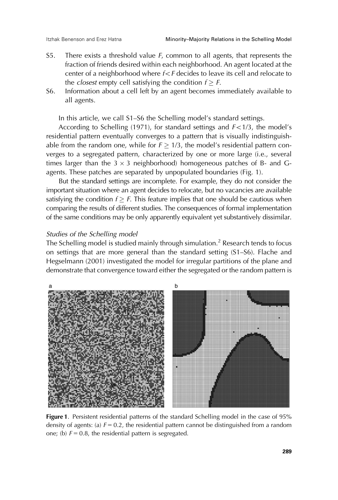- S5. There exists a threshold value  $F<sub>r</sub>$  common to all agents, that represents the fraction of friends desired within each neighborhood. An agent located at the center of a neighborhood where  $f < F$  decides to leave its cell and relocate to the *closest* empty cell satisfying the condition  $f \geq F$ .
- S6. Information about a cell left by an agent becomes immediately available to all agents.

In this article, we call S1–S6 the Schelling model's standard settings.

According to Schelling (1971), for standard settings and  $F < 1/3$ , the model's residential pattern eventually converges to a pattern that is visually indistinguishable from the random one, while for  $F \geq 1/3$ , the model's residential pattern converges to a segregated pattern, characterized by one or more large (i.e., several times larger than the  $3 \times 3$  neighborhood) homogeneous patches of B- and Gagents. These patches are separated by unpopulated boundaries (Fig. 1).

But the standard settings are incomplete. For example, they do not consider the important situation where an agent decides to relocate, but no vacancies are available satisfying the condition  $f \geq \mathit{F}$ . This feature implies that one should be cautious when comparing the results of different studies. The consequences of formal implementation of the same conditions may be only apparently equivalent yet substantively dissimilar.

# Studies of the Schelling model

The Schelling model is studied mainly through simulation.<sup>2</sup> Research tends to focus on settings that are more general than the standard setting (S1–S6). Flache and Hegselmann (2001) investigated the model for irregular partitions of the plane and demonstrate that convergence toward either the segregated or the random pattern is



Figure 1. Persistent residential patterns of the standard Schelling model in the case of 95% density of agents: (a)  $F = 0.2$ , the residential pattern cannot be distinguished from a random one; (b)  $F = 0.8$ , the residential pattern is segregated.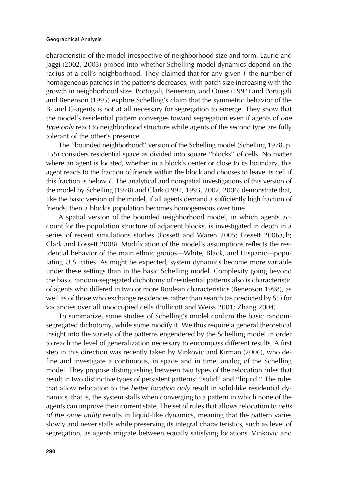characteristic of the model irrespective of neighborhood size and form. Laurie and Jaggi (2002, 2003) probed into whether Schelling model dynamics depend on the radius of a cell's neighborhood. They claimed that for any given F the number of homogeneous patches in the patterns decreases, with patch size increasing with the growth in neighborhood size. Portugali, Benenson, and Omer (1994) and Portugali and Benenson (1995) explore Schelling's claim that the symmetric behavior of the B- and G-agents is not at all necessary for segregation to emerge. They show that the model's residential pattern converges toward segregation even if agents of one type only react to neighborhood structure while agents of the second type are fully tolerant of the other's presence.

The ''bounded neighborhood'' version of the Schelling model (Schelling 1978, p. 155) considers residential space as divided into square ''blocks'' of cells. No matter where an agent is located, whether in a block's center or close to its boundary, this agent reacts to the fraction of friends within the block and chooses to leave its cell if this fraction is below F. The analytical and nonspatial investigations of this version of the model by Schelling (1978) and Clark (1991, 1993, 2002, 2006) demonstrate that, like the basic version of the model, if all agents demand a sufficiently high fraction of friends, then a block's population becomes homogeneous over time.

A spatial version of the bounded neighborhood model, in which agents account for the population structure of adjacent blocks, is investigated in depth in a series of recent simulations studies (Fossett and Waren 2005; Fossett 2006a, b; Clark and Fossett 2008). Modification of the model's assumptions reflects the residential behavior of the main ethnic groups—White, Black, and Hispanic—populating U.S. cities. As might be expected, system dynamics become more variable under these settings than in the basic Schelling model. Complexity going beyond the basic random-segregated dichotomy of residential patterns also is characteristic of agents who differed in two or more Boolean characteristics (Benenson 1998), as well as of those who exchange residences rather than search (as predicted by S5) for vacancies over all unoccupied cells (Pollicott and Weiss 2001; Zhang 2004).

To summarize, some studies of Schelling's model confirm the basic randomsegregated dichotomy, while some modify it. We thus require a general theoretical insight into the variety of the patterns engendered by the Schelling model in order to reach the level of generalization necessary to encompass different results. A first step in this direction was recently taken by Vinkovic and Kirman (2006), who define and investigate a continuous, in space and in time, analog of the Schelling model. They propose distinguishing between two types of the relocation rules that result in two distinctive types of persistent patterns: ''solid'' and ''liquid.'' The rules that allow relocation to the better location only result in solid-like residential dynamics, that is, the system stalls when converging to a pattern in which none of the agents can improve their current state. The set of rules that allows relocation to cells of the same utility results in liquid-like dynamics, meaning that the pattern varies slowly and never stalls while preserving its integral characteristics, such as level of segregation, as agents migrate between equally satisfying locations. Vinkovic and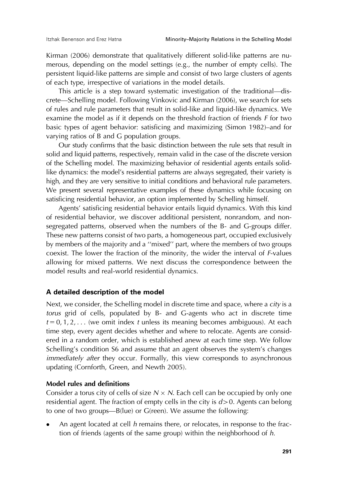Kirman (2006) demonstrate that qualitatively different solid-like patterns are numerous, depending on the model settings (e.g., the number of empty cells). The persistent liquid-like patterns are simple and consist of two large clusters of agents of each type, irrespective of variations in the model details.

This article is a step toward systematic investigation of the traditional—discrete—Schelling model. Following Vinkovic and Kirman (2006), we search for sets of rules and rule parameters that result in solid-like and liquid-like dynamics. We examine the model as if it depends on the threshold fraction of friends F for two basic types of agent behavior: satisficing and maximizing (Simon 1982)–and for varying ratios of B and G population groups.

Our study confirms that the basic distinction between the rule sets that result in solid and liquid patterns, respectively, remain valid in the case of the discrete version of the Schelling model. The maximizing behavior of residential agents entails solidlike dynamics: the model's residential patterns are always segregated, their variety is high, and they are very sensitive to initial conditions and behavioral rule parameters. We present several representative examples of these dynamics while focusing on satisficing residential behavior, an option implemented by Schelling himself.

Agents' satisficing residential behavior entails liquid dynamics. With this kind of residential behavior, we discover additional persistent, nonrandom, and nonsegregated patterns, observed when the numbers of the B- and G-groups differ. These new patterns consist of two parts, a homogeneous part, occupied exclusively by members of the majority and a ''mixed'' part, where the members of two groups coexist. The lower the fraction of the minority, the wider the interval of F-values allowing for mixed patterns. We next discuss the correspondence between the model results and real-world residential dynamics.

#### **A detailed description of the model**

Next, we consider, the Schelling model in discrete time and space, where a city is a torus grid of cells, populated by B- and G-agents who act in discrete time  $t = 0, 1, 2, \ldots$  (we omit index t unless its meaning becomes ambiguous). At each time step, every agent decides whether and where to relocate. Agents are considered in a random order, which is established anew at each time step. We follow Schelling's condition S6 and assume that an agent observes the system's changes immediately after they occur. Formally, this view corresponds to asynchronous updating (Cornforth, Green, and Newth 2005).

#### Model rules and definitions

Consider a torus city of cells of size  $N \times N$ . Each cell can be occupied by only one residential agent. The fraction of empty cells in the city is  $d > 0$ . Agents can belong to one of two groups—B(lue) or G(reen). We assume the following:

An agent located at cell h remains there, or relocates, in response to the fraction of friends (agents of the same group) within the neighborhood of h.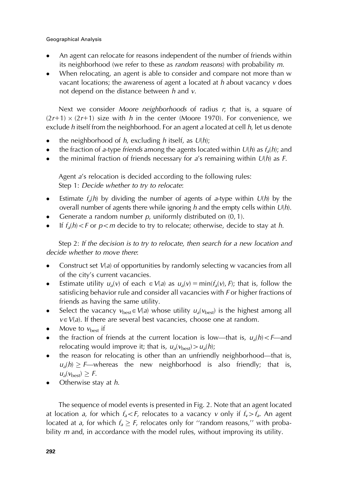- An agent can relocate for reasons independent of the number of friends within its neighborhood (we refer to these as random reasons) with probability m.
- When relocating, an agent is able to consider and compare not more than w vacant locations; the awareness of agent a located at  $h$  about vacancy  $v$  does not depend on the distance between  $h$  and  $v$ .

Next we consider Moore neighborhoods of radius r; that is, a square of  $(2r+1) \times (2r+1)$  size with h in the center (Moore 1970). For convenience, we exclude h itself from the neighborhood. For an agent a located at cell h, let us denote

- the neighborhood of h, excluding h itself, as  $U(h)$ ;
- the fraction of a-type friends among the agents located within  $U(h)$  as  $f_a(h)$ ; and
- the minimal fraction of friends necessary for  $a$ 's remaining within  $U(h)$  as F.

Agent a's relocation is decided according to the following rules: Step 1: Decide whether to try to relocate:

- Estimate  $f_a(h)$  by dividing the number of agents of a-type within  $U(h)$  by the overall number of agents there while ignoring h and the empty cells within  $U(h)$ .
- Generate a random number  $p$ , uniformly distributed on  $(0, 1)$ .
- If  $f_a(h) < F$  or  $p < m$  decide to try to relocate; otherwise, decide to stay at h.

Step 2: If the decision is to try to relocate, then search for a new location and decide whether to move there:

- Construct set  $V(a)$  of opportunities by randomly selecting w vacancies from all of the city's current vacancies.
- Estimate utility  $u_a(v)$  of each  $\in V(a)$  as  $u_a(v) = \min(f_a(v), F)$ ; that is, follow the satisficing behavior rule and consider all vacancies with F or higher fractions of friends as having the same utility.
- Select the vacancy  $v_{\text{best}} \in V(a)$  whose utility  $u_a(v_{\text{best}})$  is the highest among all  $v \in V(a)$ . If there are several best vacancies, choose one at random.
- Move to  $v_{\text{best}}$  if
- the fraction of friends at the current location is low—that is,  $u_a(h) < F$ —and relocating would improve it; that is,  $u_a(v_{\text{best}}) > u_a(h)$ ;
- the reason for relocating is other than an unfriendly neighborhood—that is,  $u_a(h) \geq F$ —whereas the new neighborhood is also friendly; that is,  $u_a(v_{\text{best}}) \geq F$ .
- Otherwise stay at h.

The sequence of model events is presented in Fig. 2. Note that an agent located at location a, for which  $f_a < F$ , relocates to a vacancy v only if  $f_v > f_a$ . An agent located at *a,* for which  $f_a \geq F$ , relocates only for ''random reasons,'' with probability *m* and, in accordance with the model rules, without improving its utility.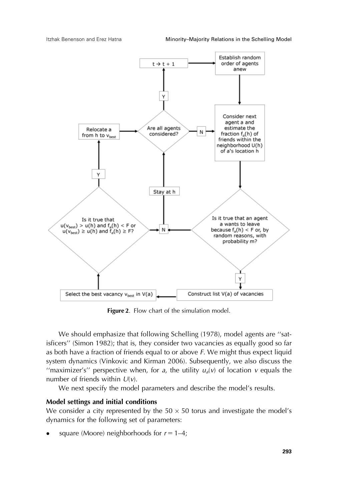

Figure 2. Flow chart of the simulation model.

We should emphasize that following Schelling (1978), model agents are ''satisficers'' (Simon 1982); that is, they consider two vacancies as equally good so far as both have a fraction of friends equal to or above  $F$ . We might thus expect liquid system dynamics (Vinkovic and Kirman 2006). Subsequently, we also discuss the "maximizer's" perspective when, for a, the utility  $u_a(v)$  of location v equals the number of friends within  $U(v)$ .

We next specify the model parameters and describe the model's results.

# Model settings and initial conditions

We consider a city represented by the  $50 \times 50$  torus and investigate the model's dynamics for the following set of parameters:

square (Moore) neighborhoods for  $r = 1-4$ ;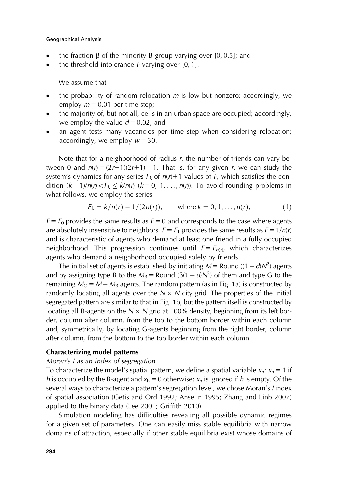- the fraction  $\beta$  of the minority B-group varying over [0, 0.5]; and
- $\bullet$  the threshold intolerance *F* varying over [0, 1].

We assume that

- the probability of random relocation  $m$  is low but nonzero; accordingly, we employ  $m = 0.01$  per time step;
- the majority of, but not all, cells in an urban space are occupied; accordingly, we employ the value  $d = 0.02$ ; and
- an agent tests many vacancies per time step when considering relocation; accordingly, we employ  $w = 30$ .

Note that for a neighborhood of radius r, the number of friends can vary between 0 and  $n(r) = (2r+1)(2r+1) - 1$ . That is, for any given r, we can study the system's dynamics for any series  $F_k$  of  $n(r)+1$  values of F, which satisfies the condition  $(k - 1)/n(r) < F_k \leq k/n(r)$   $(k = 0, 1, ..., n(r))$ . To avoid rounding problems in what follows, we employ the series

$$
F_k = k/n(r) - 1/(2n(r)),
$$
 where  $k = 0, 1, ..., n(r),$  (1)

 $F = F_0$  provides the same results as  $F = 0$  and corresponds to the case where agents are absolutely insensitive to neighbors.  $F = F_1$  provides the same results as  $F = 1/n(r)$ and is characteristic of agents who demand at least one friend in a fully occupied neighborhood. This progression continues until  $F = F_{n(r)}$ , which characterizes agents who demand a neighborhood occupied solely by friends.

The initial set of agents is established by initiating  $M =$  Round ((1 -  $dN^2$ ) agents and by assigning type B to the  $M_B =$  Round ( $\beta(1 - d)N^2$ ) of them and type G to the remaining  $M_G = M - M_B$  agents. The random pattern (as in Fig. 1a) is constructed by randomly locating all agents over the  $N \times N$  city grid. The properties of the initial segregated pattern are similar to that in Fig. 1b, but the pattern itself is constructed by locating all B-agents on the  $N \times N$  grid at 100% density, beginning from its left border, column after column, from the top to the bottom border within each column and, symmetrically, by locating G-agents beginning from the right border, column after column, from the bottom to the top border within each column.

#### Characterizing model patterns

#### Moran's I as an index of segregation

To characterize the model's spatial pattern, we define a spatial variable  $x_h$ :  $x_h = 1$  if h is occupied by the B-agent and  $x_h = 0$  otherwise;  $x_h$  is ignored if h is empty. Of the several ways to characterize a pattern's segregation level, we chose Moran's I index of spatial association (Getis and Ord 1992; Anselin 1995; Zhang and Linb 2007) applied to the binary data (Lee 2001; Griffith 2010).

Simulation modeling has difficulties revealing all possible dynamic regimes for a given set of parameters. One can easily miss stable equilibria with narrow domains of attraction, especially if other stable equilibria exist whose domains of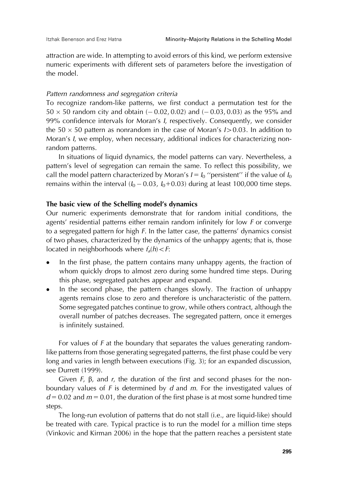attraction are wide. In attempting to avoid errors of this kind, we perform extensive numeric experiments with different sets of parameters before the investigation of the model.

### Pattern randomness and segregation criteria

To recognize random-like patterns, we first conduct a permutation test for the  $50 \times 50$  random city and obtain  $(-0.02, 0.02)$  and  $(-0.03, 0.03)$  as the 95% and 99% confidence intervals for Moran's I, respectively. Consequently, we consider the  $50 \times 50$  pattern as nonrandom in the case of Moran's  $I > 0.03$ . In addition to Moran's I, we employ, when necessary, additional indices for characterizing nonrandom patterns.

In situations of liquid dynamics, the model patterns can vary. Nevertheless, a pattern's level of segregation can remain the same. To reflect this possibility, we call the model pattern characterized by Moran's  $I = I_0$  "persistent" if the value of  $I_0$ remains within the interval  $(I_0 - 0.03, I_0 + 0.03)$  during at least 100,000 time steps.

#### The basic view of the Schelling model's dynamics

Our numeric experiments demonstrate that for random initial conditions, the agents' residential patterns either remain random infinitely for low F or converge to a segregated pattern for high F. In the latter case, the patterns' dynamics consist of two phases, characterized by the dynamics of the unhappy agents; that is, those located in neighborhoods where  $f_a(h) < F$ :

- In the first phase, the pattern contains many unhappy agents, the fraction of whom quickly drops to almost zero during some hundred time steps. During this phase, segregated patches appear and expand.
- In the second phase, the pattern changes slowly. The fraction of unhappy agents remains close to zero and therefore is uncharacteristic of the pattern. Some segregated patches continue to grow, while others contract, although the overall number of patches decreases. The segregated pattern, once it emerges is infinitely sustained.

For values of F at the boundary that separates the values generating randomlike patterns from those generating segregated patterns, the first phase could be very long and varies in length between executions (Fig. 3); for an expanded discussion, see Durrett (1999).

Given  $F$ ,  $\beta$ , and r, the duration of the first and second phases for the nonboundary values of F is determined by  $d$  and  $m$ . For the investigated values of  $d = 0.02$  and  $m = 0.01$ , the duration of the first phase is at most some hundred time steps.

The long-run evolution of patterns that do not stall (i.e., are liquid-like) should be treated with care. Typical practice is to run the model for a million time steps (Vinkovic and Kirman 2006) in the hope that the pattern reaches a persistent state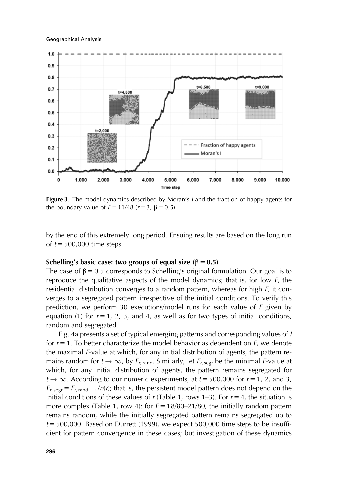

**Figure 3.** The model dynamics described by Moran's I and the fraction of happy agents for the boundary value of  $F = 11/48$  ( $r = 3$ ,  $\beta = 0.5$ ).

by the end of this extremely long period. Ensuing results are based on the long run of  $t = 500,000$  time steps.

# Schelling's basic case: two groups of equal size ( $\beta = 0.5$ )

The case of  $\beta$  = 0.5 corresponds to Schelling's original formulation. Our goal is to reproduce the qualitative aspects of the model dynamics; that is, for low  $F$ , the residential distribution converges to a random pattern, whereas for high F, it converges to a segregated pattern irrespective of the initial conditions. To verify this prediction, we perform 30 executions/model runs for each value of F given by equation (1) for  $r = 1, 2, 3$ , and 4, as well as for two types of initial conditions, random and segregated.

Fig. 4a presents a set of typical emerging patterns and corresponding values of I for  $r = 1$ . To better characterize the model behavior as dependent on  $F$ , we denote the maximal F-value at which, for any initial distribution of agents, the pattern remains random for  $t \to \infty$ , by  $F_{r, \text{rand}}$ . Similarly, let  $F_{r, \text{segr}}$  be the minimal F-value at which, for any initial distribution of agents, the pattern remains segregated for  $t \rightarrow \infty$ . According to our numeric experiments, at  $t = 500,000$  for  $r = 1, 2$ , and 3,  $F_{r,\text{seer}} = F_{r,\text{rand}}+1/n(r)$ ; that is, the persistent model pattern does not depend on the initial conditions of these values of  $r$  (Table 1, rows 1–3). For  $r = 4$ , the situation is more complex (Table 1, row 4): for  $F = 18/80-21/80$ , the initially random pattern remains random, while the initially segregated pattern remains segregated up to  $t = 500,000$ . Based on Durrett (1999), we expect 500,000 time steps to be insufficient for pattern convergence in these cases; but investigation of these dynamics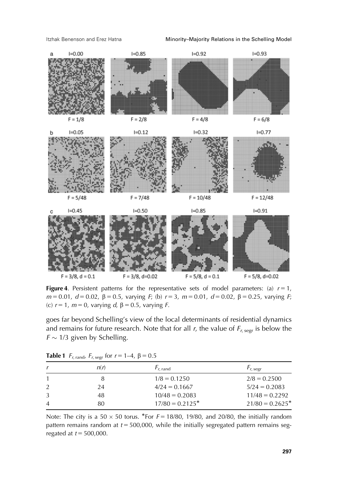Itzhak Benenson and Erez Hatna **Minority–Majority Relations in the Schelling Model** 



Figure 4. Persistent patterns for the representative sets of model parameters: (a)  $r = 1$ ,  $m = 0.01$ ,  $d = 0.02$ ,  $\beta = 0.5$ , varying F; (b)  $r = 3$ ,  $m = 0.01$ ,  $d = 0.02$ ,  $\beta = 0.25$ , varying F; (c)  $r = 1$ ,  $m = 0$ , varying d,  $\beta = 0.5$ , varying F.

goes far beyond Schelling's view of the local determinants of residential dynamics and remains for future research. Note that for all r, the value of  $F_{r, \text{segr}}$  is below the  $F \sim 1/3$  given by Schelling.

|   | n(r) | $r_{r.}$ rand                 | $r_{r,\text{segr}}$           |
|---|------|-------------------------------|-------------------------------|
|   |      | $1/8 = 0.1250$                | $2/8 = 0.2500$                |
| 2 | 24   | $4/24 = 0.1667$               | $5/24 = 0.2083$               |
| 3 | 48   | $10/48 = 0.2083$              | $11/48 = 0.2292$              |
| 4 | 80   | $17/80 = 0.2125$ <sup>*</sup> | $21/80 = 0.2625$ <sup>*</sup> |

**Table 1**  $F_{r, \text{rand}}$ ,  $F_{r, \text{segr}}$  for  $r = 1-4$ ,  $\beta = 0.5$ 

Note: The city is a 50  $\times$  50 torus. \*For  $F = 18/80$ , 19/80, and 20/80, the initially random pattern remains random at  $t = 500,000$ , while the initially segregated pattern remains segregated at  $t = 500,000$ .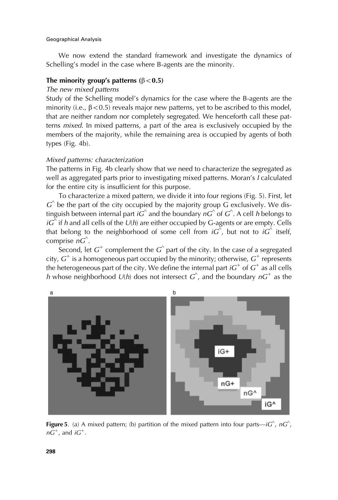We now extend the standard framework and investigate the dynamics of Schelling's model in the case where B-agents are the minority.

# The minority group's patterns ( $\beta$  < 0.5)

# The new mixed patterns

Study of the Schelling model's dynamics for the case where the B-agents are the minority (i.e.,  $\beta$  < 0.5) reveals major new patterns, yet to be ascribed to this model, that are neither random nor completely segregated. We henceforth call these patterns *mixed*. In mixed patterns, a part of the area is exclusively occupied by the members of the majority, while the remaining area is occupied by agents of both types (Fig. 4b).

# Mixed patterns: characterization

The patterns in Fig. 4b clearly show that we need to characterize the segregated as well as aggregated parts prior to investigating mixed patterns. Moran's I calculated for the entire city is insufficient for this purpose.

To characterize a mixed pattern, we divide it into four regions (Fig. 5). First, let  $G<sup>^</sup>$  be the part of the city occupied by the majority group G exclusively. We distinguish between internal part  $iG^\wedge$  and the boundary  $nG^\wedge$  of  $G^\wedge.$  A cell  $h$  belongs to  $iG^{\wedge}$  if h and all cells of the  $U(h)$  are either occupied by G-agents or are empty. Cells that belong to the neighborhood of some cell from  $iG^{\wedge}$ , but not to  $iG^{\wedge}$  itself, comprise  $nG^{\wedge}$ .

Second, let  $G^+$  complement the  $G^{\wedge}$  part of the city. In the case of a segregated city,  $G^+$  is a homogeneous part occupied by the minority; otherwise,  $G^+$  represents the heterogeneous part of the city. We define the internal part *iG*<sup>+</sup> of  $G^+$  as all cells h whose neighborhood  $U(h)$  does not intersect  $G^{\wedge}$ , and the boundary  $nG^+$  as the



Figure 5. (a) A mixed pattern; (b) partition of the mixed pattern into four parts— $iG^{\wedge}$ , n $G^{\wedge}$ ,  $nG^+$ , and  $iG^+$ .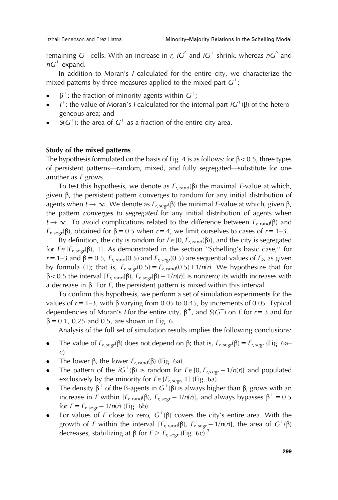remaining  $G^+$  cells. With an increase in r,  $iG^{\wedge}$  and  $iG^+$  shrink, whereas n $G^{\wedge}$  and  $nG^+$  expand.

In addition to Moran's I calculated for the entire city, we characterize the mixed patterns by three measures applied to the mixed part  $G^{\dagger}$ :

- $\beta^+$ : the fraction of minority agents within  $G^+$ ;
- $\bullet$  $I^+$ : the value of Moran's *I* calculated for the internal part  $iG^+(\beta)$  of the heterogeneous area; and
- $S(G^+)$ : the area of  $G^+$  as a fraction of the entire city area.

#### Study of the mixed patterns

The hypothesis formulated on the basis of Fig. 4 is as follows: for  $\beta$  < 0.5, three types of persistent patterns—random, mixed, and fully segregated—substitute for one another as F grows.

To test this hypothesis, we denote as  $F_{r, \text{rand}}(\beta)$  the maximal *F*-value at which, given  $\beta$ , the persistent pattern converges to random for any initial distribution of agents when  $t \to \infty$ . We denote as  $F_{r, \text{segr}}(\beta)$  the minimal *F*-value at which, given  $\beta$ , the pattern *converges to segregated* for any initial distribution of agents when  $t \to \infty$ . To avoid complications related to the difference between  $F_{t, rand}(\beta)$  and  $F_{r,\text{segr}}(\beta)$ , obtained for  $\beta = 0.5$  when  $r = 4$ , we limit ourselves to cases of  $r = 1-3$ .

By definition, the city is random for  $F \in [0, F_{r, rand}(\beta)]$ , and the city is segregated for  $F \in [F_{r, \text{segr}}(\beta), 1]$ . As demonstrated in the section "Schelling's basic case," for  $r = 1-3$  and  $\beta = 0.5$ ,  $F_{r, \text{rand}}(0.5)$  and  $F_{r, \text{seg}}(0.5)$  are sequential values of  $F_{k}$ , as given by formula (1); that is,  $F_{r, \text{segr}}(0.5) = F_{r, \text{rand}}(0.5) + 1/n(r)$ . We hypothesize that for  $\beta$  < 0.5 the interval [ $F_{r, \text{rand}}(\beta)$ ,  $F_{r, \text{seg}}(\beta)$  – 1/n(r)] is nonzero; its width increases with a decrease in  $\beta$ . For  $F$ , the persistent pattern is mixed within this interval.

To confirm this hypothesis, we perform a set of simulation experiments for the values of  $r = 1-3$ , with  $\beta$  varying from 0.05 to 0.45, by increments of 0.05. Typical dependencies of Moran's *I* for the entire city,  $\beta^+$ , and  $S(G^+)$  on *F* for  $r = 3$  and for  $\beta$  = 0.1, 0.25 and 0.5, are shown in Fig. 6.

Analysis of the full set of simulation results implies the following conclusions:

- The value of  $F_{r, \text{segr}}(\beta)$  does not depend on  $\beta$ ; that is,  $F_{r, \text{segr}}(\beta) = F_{r, \text{segr}}$  (Fig. 6a– c).
- The lower  $\beta$ , the lower  $F_{r,\text{rand}}(\beta)$  (Fig. 6a).
- The pattern of the  $iG^+(\beta)$  is random for  $F \in [0, F_{r, \text{segr}} 1/n(r)]$  and populated exclusively by the minority for  $F \in [F_{r, \text{segr, 1}}]$  (Fig. 6a).
- The density  $\beta^+$  of the B-agents in  $G^+(\beta)$  is always higher than  $\beta$ , grows with an increase in F within [ $F_{r, \text{rand}}(\beta)$ ,  $F_{r, \text{segr}} - 1/n(r)$ ], and always bypasses  $\beta^+ = 0.5$ for  $F = F_{r,\text{segr}} - 1/n(r)$  (Fig. 6b).
- For values of F close to zero,  $G^+(\beta)$  covers the city's entire area. With the growth of F within the interval  $[F_{r,\text{rand}}(\beta), F_{r,\text{segr}} - 1/n(r)]$ , the area of  $G^+(\beta)$ decreases, stabilizing at  $\beta$  for  $F \geq F_{r,\text{segr}}$  (Fig. 6c).<sup>3</sup>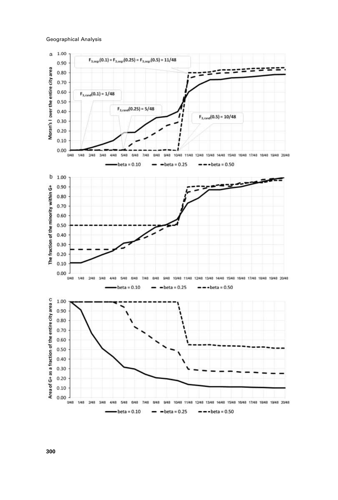**Geographical Analysis** 

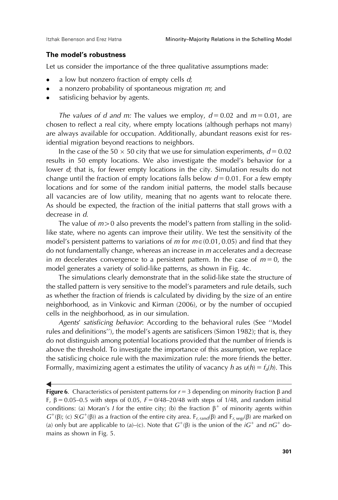#### **The model's robustness**

Let us consider the importance of the three qualitative assumptions made:

- a low but nonzero fraction of empty cells  $d_i$
- a nonzero probability of spontaneous migration m; and
- satisficing behavior by agents.

The values of d and m: The values we employ,  $d = 0.02$  and  $m = 0.01$ , are chosen to reflect a real city, where empty locations (although perhaps not many) are always available for occupation. Additionally, abundant reasons exist for residential migration beyond reactions to neighbors.

In the case of the 50  $\times$  50 city that we use for simulation experiments,  $d = 0.02$ results in 50 empty locations. We also investigate the model's behavior for a lower d; that is, for fewer empty locations in the city. Simulation results do not change until the fraction of empty locations falls below  $d = 0.01$ . For a few empty locations and for some of the random initial patterns, the model stalls because all vacancies are of low utility, meaning that no agents want to relocate there. As should be expected, the fraction of the initial patterns that stall grows with a decrease in d.

The value of  $m>0$  also prevents the model's pattern from stalling in the solidlike state, where no agents can improve their utility. We test the sensitivity of the model's persistent patterns to variations of m for  $m \in (0.01, 0.05)$  and find that they do not fundamentally change, whereas an increase in m accelerates and a decrease in *m* decelerates convergence to a persistent pattern. In the case of  $m = 0$ , the model generates a variety of solid-like patterns, as shown in Fig. 4c.

The simulations clearly demonstrate that in the solid-like state the structure of the stalled pattern is very sensitive to the model's parameters and rule details, such as whether the fraction of friends is calculated by dividing by the size of an entire neighborhood, as in Vinkovic and Kirman (2006), or by the number of occupied cells in the neighborhood, as in our simulation.

Agents' satisficing behavior: According to the behavioral rules (See "Model rules and definitions''), the model's agents are satisficers (Simon 1982); that is, they do not distinguish among potential locations provided that the number of friends is above the threshold. To investigate the importance of this assumption, we replace the satisficing choice rule with the maximization rule: the more friends the better. Formally, maximizing agent a estimates the utility of vacancy h as  $u(h) = f_a(h)$ . This

**Figure 6.** Characteristics of persistent patterns for  $r = 3$  depending on minority fraction  $\beta$  and F,  $\beta$  = 0.05–0.5 with steps of 0.05, F = 0/48–20/48 with steps of 1/48, and random initial conditions: (a) Moran's I for the entire city; (b) the fraction  $\beta^+$  of minority agents within  $G^+(\beta)$ ; (c)  $S(G^+(\beta))$  as a fraction of the entire city area. F<sub>r, rand</sub>( $\beta$ ) and F<sub>r, segr</sub>( $\beta$ ) are marked on (a) only but are applicable to (a)–(c). Note that  $G^+(\beta)$  is the union of the  $iG^+$  and  $nG^+$  domains as shown in Fig. 5.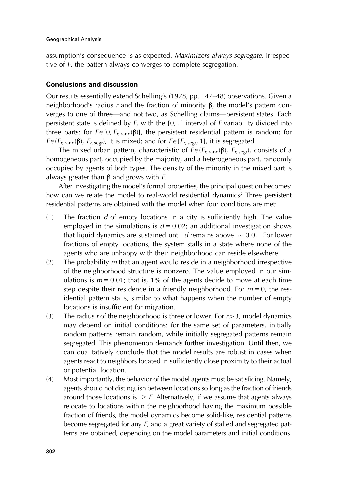assumption's consequence is as expected, Maximizers always segregate. Irrespective of F, the pattern always converges to complete segregation.

# **Conclusions and discussion**

Our results essentially extend Schelling's (1978, pp. 147–48) observations. Given a neighborhood's radius r and the fraction of minority  $\beta$ , the model's pattern converges to one of three—and not two, as Schelling claims—persistent states. Each persistent state is defined by  $F$ , with the [0, 1] interval of  $F$  variability divided into three parts: for  $F \in [0, F_{r, \text{rand}}(\beta)]$ , the persistent residential pattern is random; for  $F \in (F_{r, \text{rand}}(\beta), F_{r, \text{seg}})$ , it is mixed; and for  $F \in [F_{r, \text{seg}}, 1]$ , it is segregated.

The mixed urban pattern, characteristic of  $F \in (F_{r, rand}(\beta), F_{r, segr})$ , consists of a homogeneous part, occupied by the majority, and a heterogeneous part, randomly occupied by agents of both types. The density of the minority in the mixed part is always greater than  $\beta$  and grows with F.

After investigating the model's formal properties, the principal question becomes: how can we relate the model to real-world residential dynamics? Three persistent residential patterns are obtained with the model when four conditions are met:

- (1) The fraction  $d$  of empty locations in a city is sufficiently high. The value employed in the simulations is  $d = 0.02$ ; an additional investigation shows that liquid dynamics are sustained until d remains above  $\sim 0.01$ . For lower fractions of empty locations, the system stalls in a state where none of the agents who are unhappy with their neighborhood can reside elsewhere.
- (2) The probability m that an agent would reside in a neighborhood irrespective of the neighborhood structure is nonzero. The value employed in our simulations is  $m = 0.01$ ; that is, 1% of the agents decide to move at each time step despite their residence in a friendly neighborhood. For  $m = 0$ , the residential pattern stalls, similar to what happens when the number of empty locations is insufficient for migration.
- (3) The radius r of the neighborhood is three or lower. For  $r > 3$ , model dynamics may depend on initial conditions: for the same set of parameters, initially random patterns remain random, while initially segregated patterns remain segregated. This phenomenon demands further investigation. Until then, we can qualitatively conclude that the model results are robust in cases when agents react to neighbors located in sufficiently close proximity to their actual or potential location.
- (4) Most importantly, the behavior of the model agents must be satisficing. Namely, agents should not distinguish between locations so long as the fraction of friends around those locations is  $\geq$  F. Alternatively, if we assume that agents always relocate to locations within the neighborhood having the maximum possible fraction of friends, the model dynamics become solid-like, residential patterns become segregated for any F, and a great variety of stalled and segregated patterns are obtained, depending on the model parameters and initial conditions.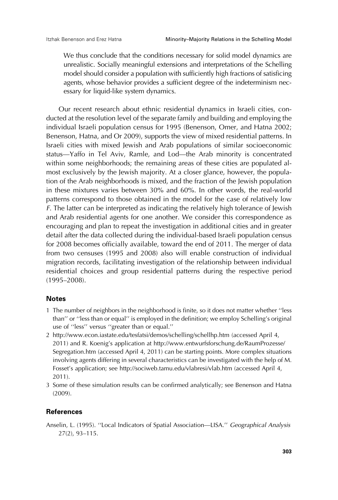We thus conclude that the conditions necessary for solid model dynamics are unrealistic. Socially meaningful extensions and interpretations of the Schelling model should consider a population with sufficiently high fractions of satisficing agents, whose behavior provides a sufficient degree of the indeterminism necessary for liquid-like system dynamics.

Our recent research about ethnic residential dynamics in Israeli cities, conducted at the resolution level of the separate family and building and employing the individual Israeli population census for 1995 (Benenson, Omer, and Hatna 2002; Benenson, Hatna, and Or 2009), supports the view of mixed residential patterns. In Israeli cities with mixed Jewish and Arab populations of similar socioeconomic status—Yaffo in Tel Aviv, Ramle, and Lod—the Arab minority is concentrated within some neighborhoods; the remaining areas of these cities are populated almost exclusively by the Jewish majority. At a closer glance, however, the population of the Arab neighborhoods is mixed, and the fraction of the Jewish population in these mixtures varies between 30% and 60%. In other words, the real-world patterns correspond to those obtained in the model for the case of relatively low F. The latter can be interpreted as indicating the relatively high tolerance of Jewish and Arab residential agents for one another. We consider this correspondence as encouraging and plan to repeat the investigation in additional cities and in greater detail after the data collected during the individual-based Israeli population census for 2008 becomes officially available, toward the end of 2011. The merger of data from two censuses (1995 and 2008) also will enable construction of individual migration records, facilitating investigation of the relationship between individual residential choices and group residential patterns during the respective period (1995–2008).

#### **Notes**

- 1 The number of neighbors in the neighborhood is finite, so it does not matter whether ''less than'' or ''less than or equal'' is employed in the definition; we employ Schelling's original use of ''less'' versus ''greater than or equal.''
- 2<http://www.econ.iastate.edu/tesfatsi/demos/schelling/schellhp.htm> (accessed April 4, 2011) and R. Koenig's application at [http://www.entwurfsforschung.de/RaumProzesse/](http://www.entwurfsforschung.de/RaumProzesse/Segregation.htm) [Segregation.htm](http://www.entwurfsforschung.de/RaumProzesse/Segregation.htm) (accessed April 4, 2011) can be starting points. More complex situations involving agents differing in several characteristics can be investigated with the help of M. Fosset's application; see<http://sociweb.tamu.edu/vlabresi/vlab.htm> (accessed April 4, 2011).
- 3 Some of these simulation results can be confirmed analytically; see Benenson and Hatna (2009).

#### **References**

Anselin, L. (1995). ''Local Indicators of Spatial Association—LISA.'' Geographical Analysis 27(2), 93–115.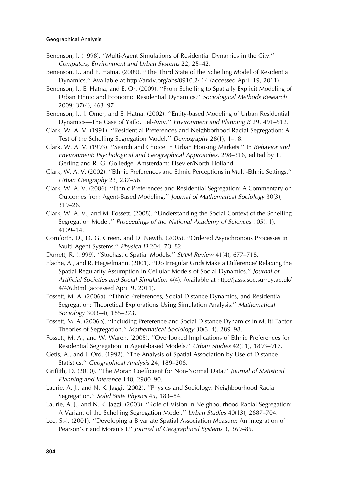- Benenson, I. (1998). ''Multi-Agent Simulations of Residential Dynamics in the City.'' Computers, Environment and Urban Systems 22, 25–42.
- Benenson, I., and E. Hatna. (2009). ''The Third State of the Schelling Model of Residential Dynamics.'' Available at<http://arxiv.org/abs/0910.2414> (accessed April 19, 2011).
- Benenson, I., E. Hatna, and E. Or. (2009). ''From Schelling to Spatially Explicit Modeling of Urban Ethnic and Economic Residential Dynamics.'' Sociological Methods Research 2009; 37(4), 463–97.
- Benenson, I., I. Omer, and E. Hatna. (2002). ''Entity-based Modeling of Urban Residential Dynamics—The Case of Yaffo, Tel-Aviv.'' Environment and Planning B 29, 491–512.
- Clark, W. A. V. (1991). ''Residential Preferences and Neighborhood Racial Segregation: A Test of the Schelling Segregation Model.'' Demography 28(1), 1–18.
- Clark, W. A. V. (1993). ''Search and Choice in Urban Housing Markets.'' In Behavior and Environment: Psychological and Geographical Approaches, 298–316, edited by T. Gerling and R. G. Golledge. Amsterdam: Elsevier/North Holland.
- Clark, W. A. V. (2002). ''Ethnic Preferences and Ethnic Perceptions in Multi-Ethnic Settings.'' Urban Geography 23, 237–56.
- Clark, W. A. V. (2006). ''Ethnic Preferences and Residential Segregation: A Commentary on Outcomes from Agent-Based Modeling.'' Journal of Mathematical Sociology 30(3), 319–26.
- Clark, W. A. V., and M. Fossett. (2008). ''Understanding the Social Context of the Schelling Segregation Model.'' Proceedings of the National Academy of Sciences 105(11), 4109–14.
- Cornforth, D., D. G. Green, and D. Newth. (2005). ''Ordered Asynchronous Processes in Multi-Agent Systems.'' Physica D 204, 70–82.
- Durrett, R. (1999). ''Stochastic Spatial Models.'' SIAM Review 41(4), 677–718.
- Flache, A., and R. Hegselmann. (2001). ''Do Irregular Grids Make a Difference? Relaxing the Spatial Regularity Assumption in Cellular Models of Social Dynamics.'' Journal of Artificial Societies and Social Simulation 4(4). Available at [http://jasss.soc.surrey.ac.uk/](http://jasss.soc.surrey.ac.uk/4/4/6.html) [4/4/6.html](http://jasss.soc.surrey.ac.uk/4/4/6.html) (accessed April 9, 2011).
- Fossett, M. A. (2006a). ''Ethnic Preferences, Social Distance Dynamics, and Residential Segregation: Theoretical Explorations Using Simulation Analysis.'' Mathematical Sociology 30(3–4), 185–273.
- Fossett, M. A. (2006b). ''Including Preference and Social Distance Dynamics in Multi-Factor Theories of Segregation.'' Mathematical Sociology 30(3–4), 289–98.
- Fossett, M. A., and W. Waren. (2005). ''Overlooked Implications of Ethnic Preferences for Residential Segregation in Agent-based Models.'' Urban Studies 42(11), 1893–917.
- Getis, A., and J. Ord. (1992). ''The Analysis of Spatial Association by Use of Distance Statistics.'' Geographical Analysis 24, 189–206.
- Griffith, D. (2010). ''The Moran Coefficient for Non-Normal Data.'' Journal of Statistical Planning and Inference 140, 2980–90.
- Laurie, A. J., and N. K. Jaggi. (2002). ''Physics and Sociology: Neighbourhood Racial Segregation.'' Solid State Physics 45, 183–84.
- Laurie, A. J., and N. K. Jaggi. (2003). ''Role of Vision in Neighbourhood Racial Segregation: A Variant of the Schelling Segregation Model.'' Urban Studies 40(13), 2687–704.
- Lee, S.-I. (2001). ''Developing a Bivariate Spatial Association Measure: An Integration of Pearson's r and Moran's I.'' Journal of Geographical Systems 3, 369–85.